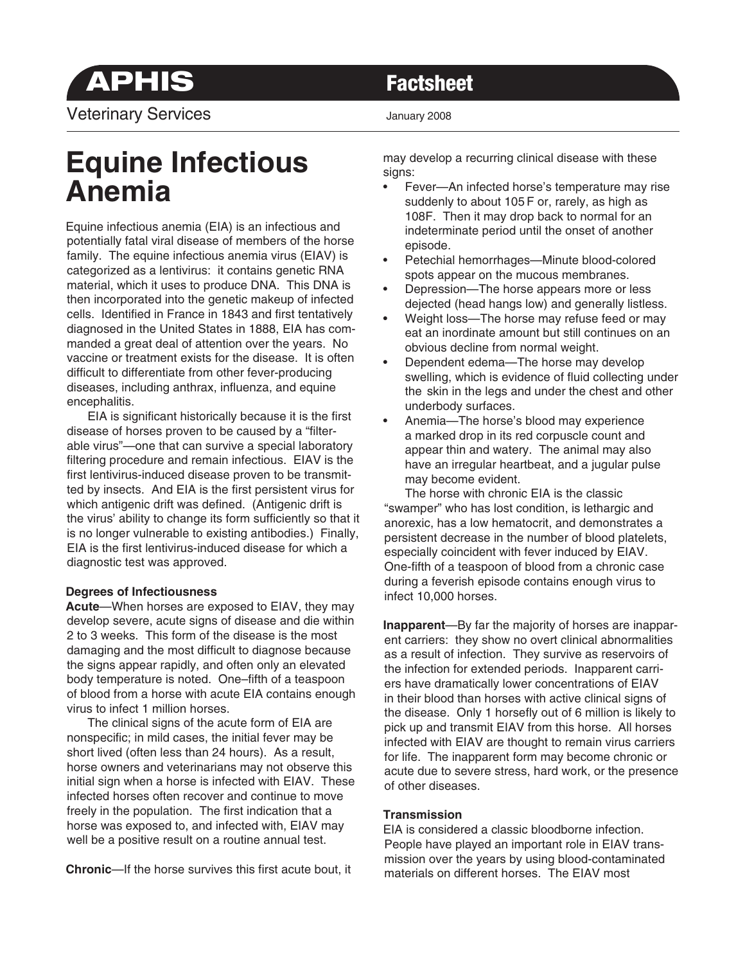**APHIS Factsheet** Veterinary Services **Veterinary 2008** 

# **Equine Infectious Anemia**

Equine infectious anemia (EIA) is an infectious and potentially fatal viral disease of members of the horse family. The equine infectious anemia virus (EIAV) is categorized as a lentivirus: it contains genetic RNA material, which it uses to produce DNA. This DNA is then incorporated into the genetic makeup of infected cells. Identified in France in 1843 and first tentatively diagnosed in the United States in 1888, EIA has commanded a great deal of attention over the years. No vaccine or treatment exists for the disease. It is often difficult to differentiate from other fever-producing diseases, including anthrax, influenza, and equine encephalitis.

 EIA is significant historically because it is the first disease of horses proven to be caused by a "filterable virus"—one that can survive a special laboratory filtering procedure and remain infectious. EIAV is the first lentivirus-induced disease proven to be transmitted by insects. And EIA is the first persistent virus for which antigenic drift was defined. (Antigenic drift is the virus' ability to change its form sufficiently so that it is no longer vulnerable to existing antibodies.) Finally, EIA is the first lentivirus-induced disease for which a diagnostic test was approved.

### **Degrees of Infectiousness**

**Acute**—When horses are exposed to EIAV, they may develop severe, acute signs of disease and die within 2 to 3 weeks. This form of the disease is the most damaging and the most difficult to diagnose because the signs appear rapidly, and often only an elevated body temperature is noted. One–fifth of a teaspoon of blood from a horse with acute EIA contains enough virus to infect 1 million horses.

 The clinical signs of the acute form of EIA are nonspecific; in mild cases, the initial fever may be short lived (often less than 24 hours). As a result, horse owners and veterinarians may not observe this initial sign when a horse is infected with EIAV. These infected horses often recover and continue to move freely in the population. The first indication that a horse was exposed to, and infected with, EIAV may well be a positive result on a routine annual test.

**Chronic**—If the horse survives this first acute bout, it

may develop a recurring clinical disease with these signs:

- Fever—An infected horse's temperature may rise suddenly to about 105 F or, rarely, as high as 108F. Then it may drop back to normal for an indeterminate period until the onset of another episode.
- Petechial hemorrhages—Minute blood-colored spots appear on the mucous membranes.
- Depression—The horse appears more or less dejected (head hangs low) and generally listless.
- Weight loss—The horse may refuse feed or may eat an inordinate amount but still continues on an obvious decline from normal weight.
- Dependent edema—The horse may develop swelling, which is evidence of fluid collecting under the skin in the legs and under the chest and other underbody surfaces.
- Anemia—The horse's blood may experience a marked drop in its red corpuscle count and appear thin and watery. The animal may also have an irregular heartbeat, and a jugular pulse may become evident.

 The horse with chronic EIA is the classic "swamper" who has lost condition, is lethargic and anorexic, has a low hematocrit, and demonstrates a persistent decrease in the number of blood platelets, especially coincident with fever induced by EIAV. One-fifth of a teaspoon of blood from a chronic case during a feverish episode contains enough virus to infect 10,000 horses.

**Inapparent**—By far the majority of horses are inapparent carriers: they show no overt clinical abnormalities as a result of infection. They survive as reservoirs of the infection for extended periods. Inapparent carriers have dramatically lower concentrations of EIAV in their blood than horses with active clinical signs of the disease. Only 1 horsefly out of 6 million is likely to pick up and transmit EIAV from this horse. All horses infected with EIAV are thought to remain virus carriers for life. The inapparent form may become chronic or acute due to severe stress, hard work, or the presence of other diseases.

# **Transmission**

EIA is considered a classic bloodborne infection. People have played an important role in EIAV transmission over the years by using blood-contaminated materials on different horses. The EIAV most